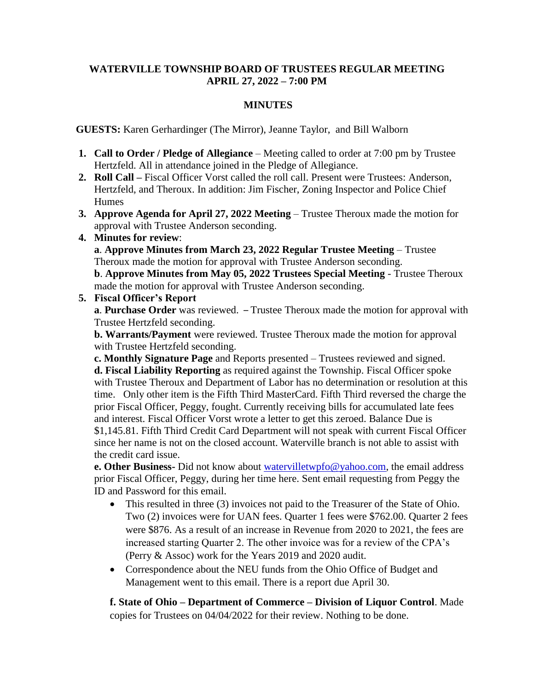### **WATERVILLE TOWNSHIP BOARD OF TRUSTEES REGULAR MEETING APRIL 27, 2022 – 7:00 PM**

## **MINUTES**

 **GUESTS:** Karen Gerhardinger (The Mirror), Jeanne Taylor, and Bill Walborn

- **1. Call to Order / Pledge of Allegiance** Meeting called to order at 7:00 pm by Trustee Hertzfeld. All in attendance joined in the Pledge of Allegiance.
- **2. Roll Call –** Fiscal Officer Vorst called the roll call. Present were Trustees: Anderson, Hertzfeld, and Theroux. In addition: Jim Fischer, Zoning Inspector and Police Chief **Humes**
- **3. Approve Agenda for April 27, 2022 Meeting** Trustee Theroux made the motion for approval with Trustee Anderson seconding.
- **4. Minutes for review**:

**a**. **Approve Minutes from March 23, 2022 Regular Trustee Meeting – Trustee** Theroux made the motion for approval with Trustee Anderson seconding.

**b**. **Approve Minutes from May 05, 2022 Trustees Special Meeting** - Trustee Theroux made the motion for approval with Trustee Anderson seconding.

**5. Fiscal Officer's Report**

**a**. **Purchase Order** was reviewed. – Trustee Theroux made the motion for approval with Trustee Hertzfeld seconding.

**b. Warrants/Payment** were reviewed. Trustee Theroux made the motion for approval with Trustee Hertzfeld seconding.

**c. Monthly Signature Page** and Reports presented – Trustees reviewed and signed. **d. Fiscal Liability Reporting** as required against the Township. Fiscal Officer spoke with Trustee Theroux and Department of Labor has no determination or resolution at this time. Only other item is the Fifth Third MasterCard. Fifth Third reversed the charge the prior Fiscal Officer, Peggy, fought. Currently receiving bills for accumulated late fees and interest. Fiscal Officer Vorst wrote a letter to get this zeroed. Balance Due is \$1,145.81. Fifth Third Credit Card Department will not speak with current Fiscal Officer since her name is not on the closed account. Waterville branch is not able to assist with the credit card issue.

**e. Other Business-** Did not know about [watervilletwpfo@yahoo.com,](mailto:watervilletwpfo@yahoo.com) the email address prior Fiscal Officer, Peggy, during her time here. Sent email requesting from Peggy the ID and Password for this email.

- This resulted in three (3) invoices not paid to the Treasurer of the State of Ohio. Two (2) invoices were for UAN fees. Quarter 1 fees were \$762.00. Quarter 2 fees were \$876. As a result of an increase in Revenue from 2020 to 2021, the fees are increased starting Quarter 2. The other invoice was for a review of the CPA's (Perry & Assoc) work for the Years 2019 and 2020 audit.
- Correspondence about the NEU funds from the Ohio Office of Budget and Management went to this email. There is a report due April 30.

**f. State of Ohio – Department of Commerce – Division of Liquor Control**. Made copies for Trustees on 04/04/2022 for their review. Nothing to be done.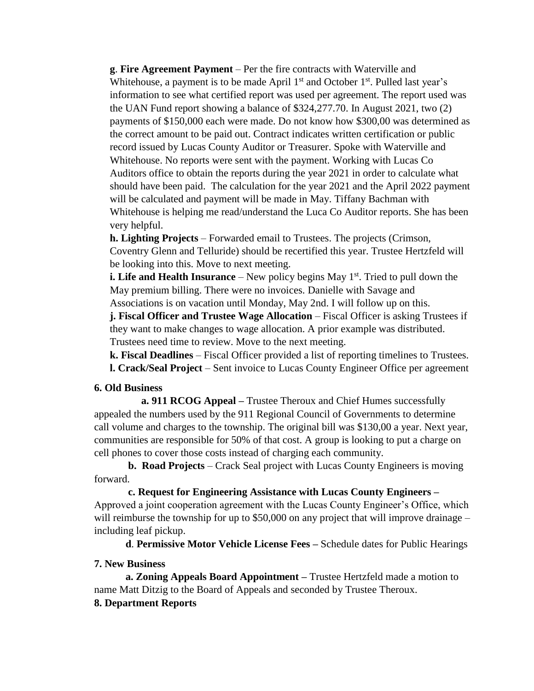**g**. **Fire Agreement Payment** – Per the fire contracts with Waterville and Whitehouse, a payment is to be made April  $1<sup>st</sup>$  and October  $1<sup>st</sup>$ . Pulled last year's information to see what certified report was used per agreement. The report used was the UAN Fund report showing a balance of \$324,277.70. In August 2021, two (2) payments of \$150,000 each were made. Do not know how \$300,00 was determined as the correct amount to be paid out. Contract indicates written certification or public record issued by Lucas County Auditor or Treasurer. Spoke with Waterville and Whitehouse. No reports were sent with the payment. Working with Lucas Co Auditors office to obtain the reports during the year 2021 in order to calculate what should have been paid. The calculation for the year 2021 and the April 2022 payment will be calculated and payment will be made in May. Tiffany Bachman with Whitehouse is helping me read/understand the Luca Co Auditor reports. She has been very helpful.

**h. Lighting Projects** – Forwarded email to Trustees. The projects (Crimson, Coventry Glenn and Telluride) should be recertified this year. Trustee Hertzfeld will be looking into this. Move to next meeting.

**i. Life and Health Insurance** – New policy begins May 1<sup>st</sup>. Tried to pull down the May premium billing. There were no invoices. Danielle with Savage and Associations is on vacation until Monday, May 2nd. I will follow up on this.

**j. Fiscal Officer and Trustee Wage Allocation** – Fiscal Officer is asking Trustees if they want to make changes to wage allocation. A prior example was distributed. Trustees need time to review. Move to the next meeting.

**k. Fiscal Deadlines** – Fiscal Officer provided a list of reporting timelines to Trustees. **l. Crack/Seal Project** – Sent invoice to Lucas County Engineer Office per agreement

#### **6. Old Business**

 **a. 911 RCOG Appeal –** Trustee Theroux and Chief Humes successfully appealed the numbers used by the 911 Regional Council of Governments to determine call volume and charges to the township. The original bill was \$130,00 a year. Next year, communities are responsible for 50% of that cost. A group is looking to put a charge on cell phones to cover those costs instead of charging each community.

**b. Road Projects** – Crack Seal project with Lucas County Engineers is moving forward.

 **c. Request for Engineering Assistance with Lucas County Engineers –** Approved a joint cooperation agreement with the Lucas County Engineer's Office, which will reimburse the township for up to \$50,000 on any project that will improve drainage – including leaf pickup.

**d**. **Permissive Motor Vehicle License Fees –** Schedule dates for Public Hearings

## **7. New Business**

**a. Zoning Appeals Board Appointment –** Trustee Hertzfeld made a motion to name Matt Ditzig to the Board of Appeals and seconded by Trustee Theroux.

# **8. Department Reports**